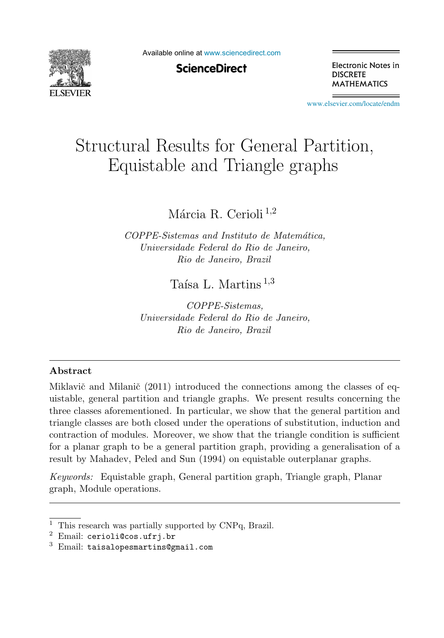

Available online at [www.sciencedirect.com](http://www.sciencedirect.com)

**ScienceDirect** 

Electronic Notes in **DISCRETE MATHEMATICS** 

[www.elsevier.com/locate/endm](http://www.elsevier.com/locate/endm)

# Structural Results for General Partition, Equistable and Triangle graphs

Márcia R. Cerioli<sup>1,2</sup>

*COPPE-Sistemas and Instituto de Matem´atica, Universidade Federal do Rio de Janeiro, Rio de Janeiro, Brazil*

Taísa L. Martins  $^{1,3}$ 

*COPPE-Sistemas, Universidade Federal do Rio de Janeiro, Rio de Janeiro, Brazil*

#### **Abstract**

Miklavič and Milanič  $(2011)$  introduced the connections among the classes of equistable, general partition and triangle graphs. We present results concerning the three classes aforementioned. In particular, we show that the general partition and triangle classes are both closed under the operations of substitution, induction and contraction of modules. Moreover, we show that the triangle condition is sufficient for a planar graph to be a general partition graph, providing a generalisation of a result by Mahadev, Peled and Sun (1994) on equistable outerplanar graphs.

*Keywords:* Equistable graph, General partition graph, Triangle graph, Planar graph, Module operations.

<sup>&</sup>lt;sup>1</sup> This research was partially supported by CNPq, Brazil.

 $2$  Email: cerioli@cos.ufrj.br

 $3$  Email: taisalopesmartins@gmail.com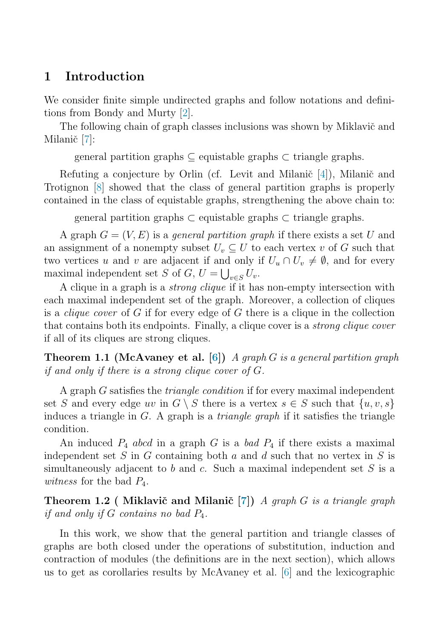## **1 Introduction**

We consider finite simple undirected graphs and follow notations and definitions from Bondy and Murty [\[2\]](#page-5-0).

The following chain of graph classes inclusions was shown by Miklavič and Milanič [\[7\]](#page-5-0):

general partition graphs  $\subseteq$  equistable graphs  $\subseteq$  triangle graphs.

Refuting a conjecture by Orlin (cf. Levit and Milanič  $[4]$ ), Milanič and Trotignon [\[8\]](#page-5-0) showed that the class of general partition graphs is properly contained in the class of equistable graphs, strengthening the above chain to:

general partition graphs  $\subset$  equistable graphs  $\subset$  triangle graphs.

A graph  $G = (V, E)$  is a *general partition graph* if there exists a set U and an assignment of a nonempty subset  $U_v \subseteq U$  to each vertex v of G such that two vertices u and v are adjacent if and only if  $U_u \cap U_v \neq \emptyset$ , and for every maximal independent set S of G,  $U = \bigcup_{v \in S} U_v$ .

A clique in a graph is a strong clique if it has non-empty intersection with each maximal independent set of the graph. Moreover, a collection of cliques is a *clique cover* of  $G$  if for every edge of  $G$  there is a clique in the collection that contains both its endpoints. Finally, a clique cover is a strong clique cover if all of its cliques are strong cliques.

**Theorem 1.1 (McAvaney et al. [\[6\]](#page-5-0))** A graph G is a general partition graph if and only if there is a strong clique cover of G.

A graph G satisfies the triangle condition if for every maximal independent set S and every edge uv in  $G \setminus S$  there is a vertex  $s \in S$  such that  $\{u, v, s\}$ induces a triangle in  $G$ . A graph is a *triangle graph* if it satisfies the triangle condition.

An induced  $P_4$  abcd in a graph G is a bad  $P_4$  if there exists a maximal independent set S in G containing both a and d such that no vertex in S is simultaneously adjacent to b and c. Such a maximal independent set  $S$  is a *witness* for the bad  $P_4$ .

**Theorem 1.2 ( Miklavič and Milanič [\[7\]](#page-5-0))** A graph G is a triangle graph if and only if  $G$  contains no bad  $P_4$ .

In this work, we show that the general partition and triangle classes of graphs are both closed under the operations of substitution, induction and contraction of modules (the definitions are in the next section), which allows us to get as corollaries results by McAvaney et al. [\[6\]](#page-5-0) and the lexicographic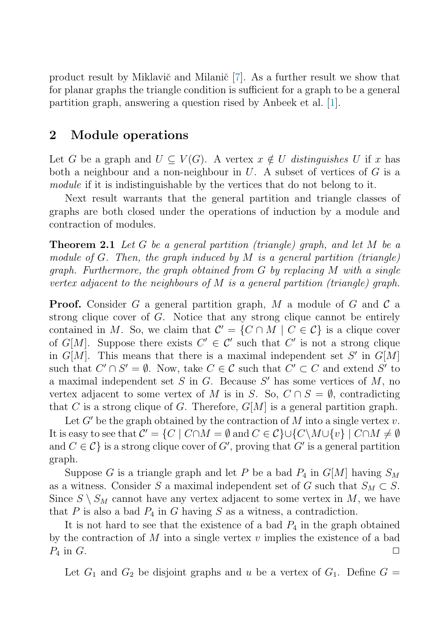<span id="page-2-0"></span>product result by Miklavič and Milanič  $[7]$ . As a further result we show that for planar graphs the triangle condition is sufficient for a graph to be a general partition graph, answering a question rised by Anbeek et al. [\[1\]](#page-5-0).

### **2 Module operations**

Let G be a graph and  $U \subseteq V(G)$ . A vertex  $x \notin U$  distinguishes U if x has both a neighbour and a non-neighbour in  $U$ . A subset of vertices of  $G$  is a module if it is indistinguishable by the vertices that do not belong to it.

Next result warrants that the general partition and triangle classes of graphs are both closed under the operations of induction by a module and contraction of modules.

**Theorem 2.1** Let G be a general partition (triangle) graph, and let M be a module of G. Then, the graph induced by M is a general partition (triangle) graph. Furthermore, the graph obtained from G by replacing M with a single vertex adjacent to the neighbours of M is a general partition (triangle) graph.

**Proof.** Consider G a general partition graph, M a module of G and  $\mathcal{C}$  a strong clique cover of  $G$ . Notice that any strong clique cannot be entirely contained in M. So, we claim that  $C' = \{C \cap M \mid C \in C\}$  is a clique cover of G[M]. Suppose there exists  $C' \in \mathcal{C}'$  such that  $C'$  is not a strong clique in  $G[M]$ . This means that there is a maximal independent set S' in  $G[M]$ such that  $C' \cap S' = \emptyset$ . Now, take  $C \in \mathcal{C}$  such that  $C' \subset C$  and extend  $S'$  to a maximal independent set  $S$  in  $G$ . Because  $S'$  has some vertices of  $M$ , no vertex adjacent to some vertex of M is in S. So,  $C \cap S = \emptyset$ , contradicting that C is a strong clique of G. Therefore,  $G[M]$  is a general partition graph.

Let  $G'$  be the graph obtained by the contraction of M into a single vertex v. It is easy to see that  $C' = \{C \mid C \cap M = \emptyset \text{ and } C \in C\} \cup \{C \setminus M \cup \{v\} \mid C \cap M \neq \emptyset \}$ and  $C \in \mathcal{C}$  is a strong clique cover of  $G'$ , proving that  $G'$  is a general partition graph.

Suppose G is a triangle graph and let P be a bad  $P_4$  in  $G[M]$  having  $S_M$ as a witness. Consider S a maximal independent set of G such that  $S_M \subset S$ . Since  $S \setminus S_M$  cannot have any vertex adjacent to some vertex in M, we have that  $P$  is also a bad  $P_4$  in  $G$  having  $S$  as a witness, a contradiction.

It is not hard to see that the existence of a bad  $P_4$  in the graph obtained by the contraction of M into a single vertex  $v$  implies the existence of a bad  $P_4$  in G.

Let  $G_1$  and  $G_2$  be disjoint graphs and u be a vertex of  $G_1$ . Define  $G =$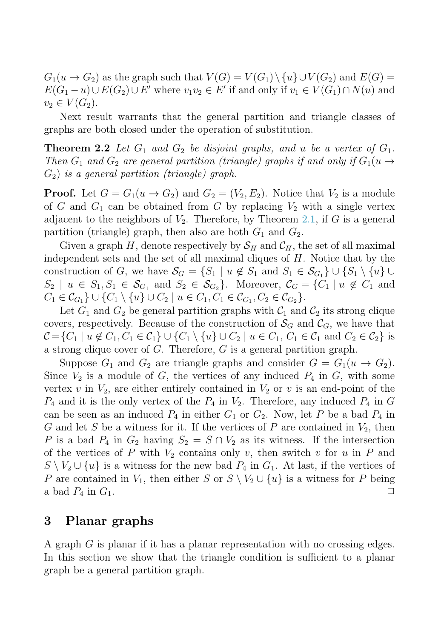$G_1(u \to G_2)$  as the graph such that  $V(G) = V(G_1) \setminus \{u\} \cup V(G_2)$  and  $E(G) =$  $E(G_1-u) \cup E(G_2) \cup E'$  where  $v_1v_2 \in E'$  if and only if  $v_1 \in V(G_1) \cap N(u)$  and  $v_2 \in V(G_2)$ .

Next result warrants that the general partition and triangle classes of graphs are both closed under the operation of substitution.

**Theorem 2.2** Let  $G_1$  and  $G_2$  be disjoint graphs, and u be a vertex of  $G_1$ . Then  $G_1$  and  $G_2$  are general partition (triangle) graphs if and only if  $G_1(u \rightarrow$  $G_2$ ) is a general partition (triangle) graph.

**Proof.** Let  $G = G_1(u \rightarrow G_2)$  and  $G_2 = (V_2, E_2)$ . Notice that  $V_2$  is a module of G and  $G_1$  can be obtained from G by replacing  $V_2$  with a single vertex adjacent to the neighbors of  $V_2$ . Therefore, by Theorem [2.1,](#page-2-0) if G is a general partition (triangle) graph, then also are both  $G_1$  and  $G_2$ .

Given a graph H, denote respectively by  $S_H$  and  $C_H$ , the set of all maximal independent sets and the set of all maximal cliques of H. Notice that by the construction of G, we have  $\mathcal{S}_G = \{S_1 \mid u \notin S_1 \text{ and } S_1 \in \mathcal{S}_{G_1}\} \cup \{S_1 \setminus \{u\} \cup$  $S_2 \mid u \in S_1, S_1 \in \mathcal{S}_{G_1}$  and  $S_2 \in \mathcal{S}_{G_2}$ . Moreover,  $\mathcal{C}_G = \{C_1 \mid u \notin C_1 \text{ and } C_2 \}$  $C_1 \in \mathcal{C}_{G_1} \} \cup \{C_1 \setminus \{u\} \cup C_2 \mid u \in C_1, C_1 \in \mathcal{C}_{G_1}, C_2 \in \mathcal{C}_{G_2} \}.$ 

Let  $G_1$  and  $G_2$  be general partition graphs with  $C_1$  and  $C_2$  its strong clique covers, respectively. Because of the construction of  $\mathcal{S}_G$  and  $\mathcal{C}_G$ , we have that  $\mathcal{C} = \{C_1 \mid u \notin C_1, C_1 \in \mathcal{C}_1\} \cup \{C_1 \setminus \{u\} \cup C_2 \mid u \in C_1, C_1 \in \mathcal{C}_1 \text{ and } C_2 \in \mathcal{C}_2\}$  is a strong clique cover of  $G$ . Therefore,  $G$  is a general partition graph.

Suppose  $G_1$  and  $G_2$  are triangle graphs and consider  $G = G_1(u \rightarrow G_2)$ . Since  $V_2$  is a module of G, the vertices of any induced  $P_4$  in G, with some vertex v in  $V_2$ , are either entirely contained in  $V_2$  or v is an end-point of the  $P_4$  and it is the only vertex of the  $P_4$  in  $V_2$ . Therefore, any induced  $P_4$  in G can be seen as an induced  $P_4$  in either  $G_1$  or  $G_2$ . Now, let P be a bad  $P_4$  in G and let S be a witness for it. If the vertices of P are contained in  $V_2$ , then P is a bad  $P_4$  in  $G_2$  having  $S_2 = S \cap V_2$  as its witness. If the intersection of the vertices of P with  $V_2$  contains only v, then switch v for u in P and  $S \setminus V_2 \cup \{u\}$  is a witness for the new bad  $P_4$  in  $G_1$ . At last, if the vertices of P are contained in  $V_1$ , then either S or  $S \setminus V_2 \cup \{u\}$  is a witness for P being a bad  $P_4$  in  $G_1$ a bad  $P_4$  in  $G_1$ .

### **3 Planar graphs**

A graph G is planar if it has a planar representation with no crossing edges. In this section we show that the triangle condition is sufficient to a planar graph be a general partition graph.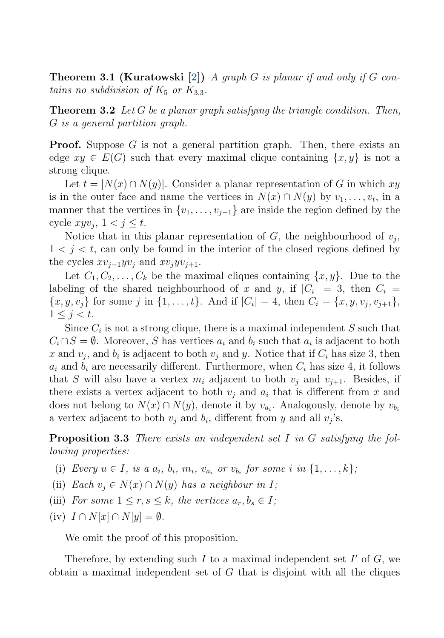**Theorem 3.1 (Kuratowski [\[2\]](#page-5-0))** A graph G is planar if and only if G contains no subdivision of  $K_5$  or  $K_{3,3}$ .

**Theorem 3.2** Let G be a planar graph satisfying the triangle condition. Then, G is a general partition graph.

**Proof.** Suppose  $G$  is not a general partition graph. Then, there exists an edge  $xy \in E(G)$  such that every maximal clique containing  $\{x, y\}$  is not a strong clique.

Let  $t = |N(x) \cap N(y)|$ . Consider a planar representation of G in which xy is in the outer face and name the vertices in  $N(x) \cap N(y)$  by  $v_1, \ldots, v_t$ , in a manner that the vertices in  $\{v_1, \ldots, v_{j-1}\}$  are inside the region defined by the cycle  $xyv_i, 1 < j \leq t$ .

Notice that in this planar representation of  $G$ , the neighbourhood of  $v_i$ ,  $1 < j < t$ , can only be found in the interior of the closed regions defined by the cycles  $xv_{i-1}yv_i$  and  $xv_i yv_{i+1}$ .

Let  $C_1, C_2, \ldots, C_k$  be the maximal cliques containing  $\{x, y\}$ . Due to the labeling of the shared neighbourhood of x and y, if  $|C_i| = 3$ , then  $C_i =$  ${x, y, v_j}$  for some j in  ${1, \ldots, t}$ . And if  $|C_i| = 4$ , then  $C_i = {x, y, v_j, v_{j+1}}$ ,  $1 \leq j < t$ .

Since  $C_i$  is not a strong clique, there is a maximal independent  $S$  such that  $C_i \cap S = \emptyset$ . Moreover, S has vertices  $a_i$  and  $b_i$  such that  $a_i$  is adjacent to both x and  $v_j$ , and  $b_i$  is adjacent to both  $v_j$  and y. Notice that if  $C_i$  has size 3, then  $a_i$  and  $b_i$  are necessarily different. Furthermore, when  $C_i$  has size 4, it follows that S will also have a vertex  $m_i$  adjacent to both  $v_i$  and  $v_{i+1}$ . Besides, if there exists a vertex adjacent to both  $v_i$  and  $a_i$  that is different from x and does not belong to  $N(x) \cap N(y)$ , denote it by  $v_{a_i}$ . Analogously, denote by  $v_{b_i}$ a vertex adjacent to both  $v_i$  and  $b_i$ , different from y and all  $v_i$ 's.

**Proposition 3.3** There exists an independent set I in G satisfying the following properties:

- (i) Every  $u \in I$ , is a  $a_i$ ,  $b_i$ ,  $m_i$ ,  $v_{a_i}$  or  $v_{b_i}$  for some i in  $\{1, \ldots, k\}$ ;
- (ii) Each  $v_i \in N(x) \cap N(y)$  has a neighbour in I;
- (iii) For some  $1 \leq r, s \leq k$ , the vertices  $a_r, b_s \in I$ ;
- (iv)  $I \cap N[x] \cap N[y] = \emptyset$ .

We omit the proof of this proposition.

Therefore, by extending such I to a maximal independent set  $I'$  of  $G$ , we obtain a maximal independent set of  $G$  that is disjoint with all the cliques